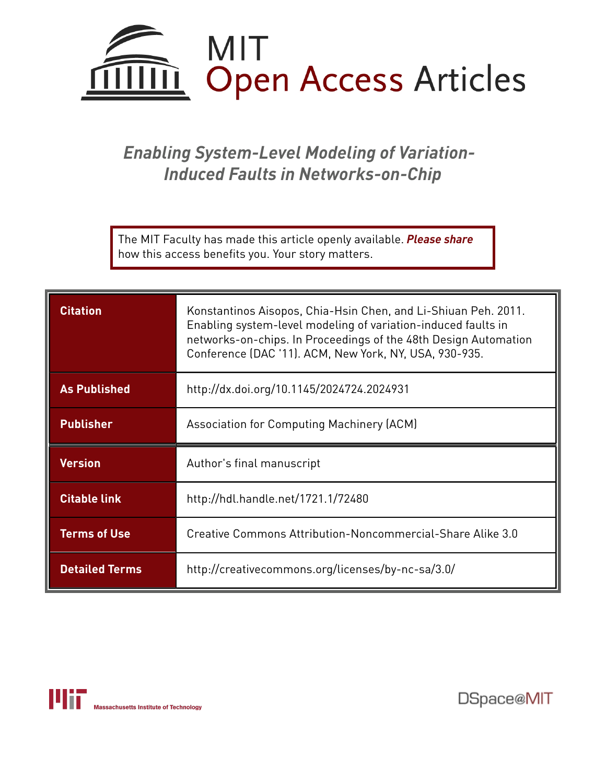

*Enabling System-Level Modeling of Variation-Induced Faults in Networks-on-Chip*

The MIT Faculty has made this article openly available. *[Please](https://libraries.mit.edu/forms/dspace-oa-articles.html) share* how this access benefits you. Your story matters.

| <b>Citation</b>     | Konstantinos Aisopos, Chia-Hsin Chen, and Li-Shiuan Peh. 2011.<br>Enabling system-level modeling of variation-induced faults in<br>networks-on-chips. In Proceedings of the 48th Design Automation<br>Conference (DAC '11). ACM, New York, NY, USA, 930-935. |
|---------------------|--------------------------------------------------------------------------------------------------------------------------------------------------------------------------------------------------------------------------------------------------------------|
| <b>As Published</b> | http://dx.doi.org/10.1145/2024724.2024931                                                                                                                                                                                                                    |
| <b>Publisher</b>    | Association for Computing Machinery (ACM)                                                                                                                                                                                                                    |
|                     |                                                                                                                                                                                                                                                              |
| <b>Version</b>      | Author's final manuscript                                                                                                                                                                                                                                    |
| <b>Citable link</b> | http://hdl.handle.net/1721.1/72480                                                                                                                                                                                                                           |
| <b>Terms of Use</b> | Creative Commons Attribution-Noncommercial-Share Alike 3.0                                                                                                                                                                                                   |



DSpace@MIT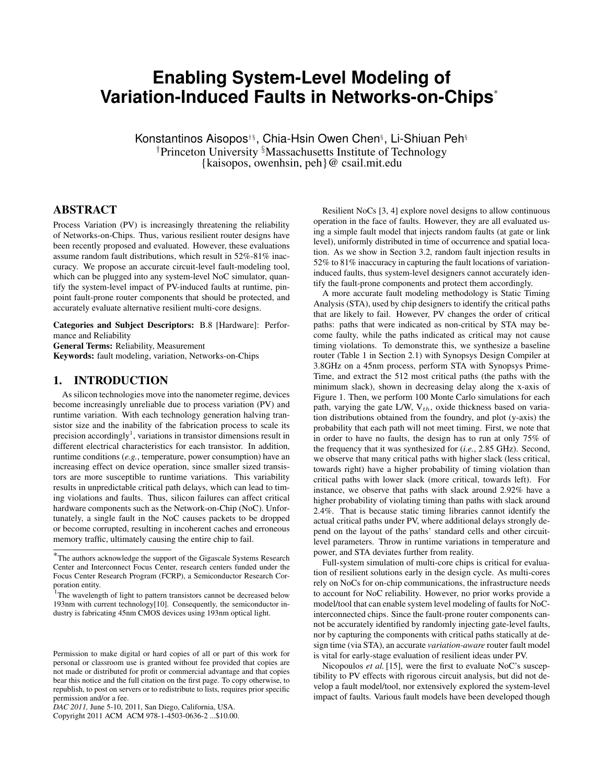# **Enabling System-Level Modeling of Variation-Induced Faults in Networks-on-Chips**<sup>∗</sup>

Konstantinos Aisopos†§, Chia-Hsin Owen Chen§ , Li-Shiuan Peh§ †Princeton University §Massachusetts Institute of Technology {kaisopos, owenhsin, peh}@ csail.mit.edu

### ABSTRACT

Process Variation (PV) is increasingly threatening the reliability of Networks-on-Chips. Thus, various resilient router designs have been recently proposed and evaluated. However, these evaluations assume random fault distributions, which result in 52%-81% inaccuracy. We propose an accurate circuit-level fault-modeling tool, which can be plugged into any system-level NoC simulator, quantify the system-level impact of PV-induced faults at runtime, pinpoint fault-prone router components that should be protected, and accurately evaluate alternative resilient multi-core designs.

Categories and Subject Descriptors: B.8 [Hardware]: Performance and Reliability

General Terms: Reliability, Measurement

Keywords: fault modeling, variation, Networks-on-Chips

#### 1. INTRODUCTION

As silicon technologies move into the nanometer regime, devices become increasingly unreliable due to process variation (PV) and runtime variation. With each technology generation halving transistor size and the inability of the fabrication process to scale its precision accordingly<sup>1</sup>, variations in transistor dimensions result in different electrical characteristics for each transistor. In addition, runtime conditions (*e.g.*, temperature, power consumption) have an increasing effect on device operation, since smaller sized transistors are more susceptible to runtime variations. This variability results in unpredictable critical path delays, which can lead to timing violations and faults. Thus, silicon failures can affect critical hardware components such as the Network-on-Chip (NoC). Unfortunately, a single fault in the NoC causes packets to be dropped or become corrupted, resulting in incoherent caches and erroneous memory traffic, ultimately causing the entire chip to fail.

Resilient NoCs [3, 4] explore novel designs to allow continuous operation in the face of faults. However, they are all evaluated using a simple fault model that injects random faults (at gate or link level), uniformly distributed in time of occurrence and spatial location. As we show in Section 3.2, random fault injection results in 52% to 81% inaccuracy in capturing the fault locations of variationinduced faults, thus system-level designers cannot accurately identify the fault-prone components and protect them accordingly.

A more accurate fault modeling methodology is Static Timing Analysis (STA), used by chip designers to identify the critical paths that are likely to fail. However, PV changes the order of critical paths: paths that were indicated as non-critical by STA may become faulty, while the paths indicated as critical may not cause timing violations. To demonstrate this, we synthesize a baseline router (Table 1 in Section 2.1) with Synopsys Design Compiler at 3.8GHz on a 45nm process, perform STA with Synopsys Prime-Time, and extract the 512 most critical paths (the paths with the minimum slack), shown in decreasing delay along the x-axis of Figure 1. Then, we perform 100 Monte Carlo simulations for each path, varying the gate L/W,  $V_{th}$ , oxide thickness based on variation distributions obtained from the foundry, and plot (y-axis) the probability that each path will not meet timing. First, we note that in order to have no faults, the design has to run at only 75% of the frequency that it was synthesized for (*i.e.*, 2.85 GHz). Second, we observe that many critical paths with higher slack (less critical, towards right) have a higher probability of timing violation than critical paths with lower slack (more critical, towards left). For instance, we observe that paths with slack around 2.92% have a higher probability of violating timing than paths with slack around 2.4%. That is because static timing libraries cannot identify the actual critical paths under PV, where additional delays strongly depend on the layout of the paths' standard cells and other circuitlevel parameters. Throw in runtime variations in temperature and power, and STA deviates further from reality.

Full-system simulation of multi-core chips is critical for evaluation of resilient solutions early in the design cycle. As multi-cores rely on NoCs for on-chip communications, the infrastructure needs to account for NoC reliability. However, no prior works provide a model/tool that can enable system level modeling of faults for NoCinterconnected chips. Since the fault-prone router components cannot be accurately identified by randomly injecting gate-level faults, nor by capturing the components with critical paths statically at design time (via STA), an accurate *variation-aware* router fault model is vital for early-stage evaluation of resilient ideas under PV.

Nicopoulos *et al.* [15], were the first to evaluate NoC's susceptibility to PV effects with rigorous circuit analysis, but did not develop a fault model/tool, nor extensively explored the system-level impact of faults. Various fault models have been developed though

<sup>∗</sup> The authors acknowledge the support of the Gigascale Systems Research Center and Interconnect Focus Center, research centers funded under the Focus Center Research Program (FCRP), a Semiconductor Research Corporation entity.

<sup>&</sup>lt;sup>1</sup>The wavelength of light to pattern transistors cannot be decreased below 193nm with current technology[10]. Consequently, the semiconductor industry is fabricating 45nm CMOS devices using 193nm optical light.

Permission to make digital or hard copies of all or part of this work for personal or classroom use is granted without fee provided that copies are not made or distributed for profit or commercial advantage and that copies bear this notice and the full citation on the first page. To copy otherwise, to republish, to post on servers or to redistribute to lists, requires prior specific permission and/or a fee.

*DAC 2011,* June 5-10, 2011, San Diego, California, USA.

Copyright 2011 ACM ACM 978-1-4503-0636-2 ...\$10.00.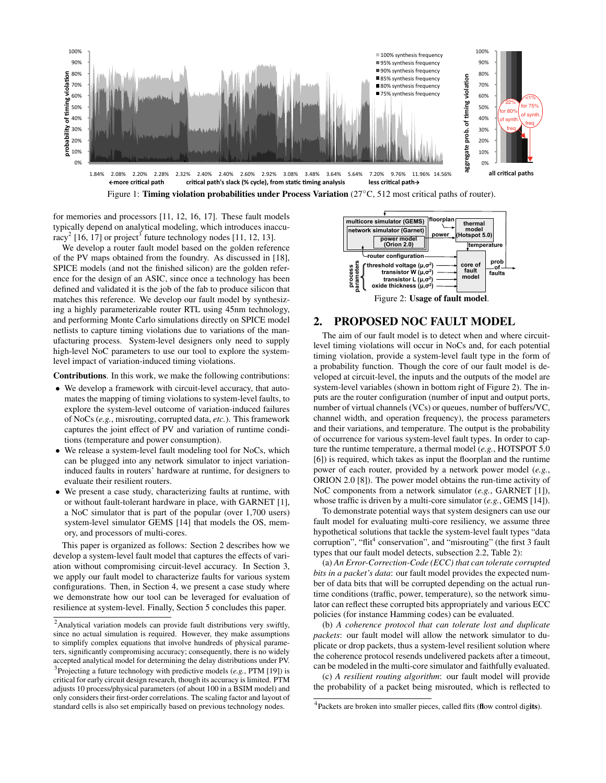



for memories and processors [11, 12, 16, 17]. These fault models typically depend on analytical modeling, which introduces inaccuracy<sup>2</sup> [16, 17] or project<sup>3</sup> future technology nodes [11, 12, 13].

We develop a router fault model based on the golden reference of the PV maps obtained from the foundry. As discussed in [18], SPICE models (and not the finished silicon) are the golden reference for the design of an ASIC, since once a technology has been defined and validated it is the job of the fab to produce silicon that matches this reference. We develop our fault model by synthesizing a highly parameterizable router RTL using 45nm technology, and performing Monte Carlo simulations directly on SPICE model netlists to capture timing violations due to variations of the manufacturing process. System-level designers only need to supply high-level NoC parameters to use our tool to explore the systemlevel impact of variation-induced timing violations.

Contributions. In this work, we make the following contributions:

- We develop a framework with circuit-level accuracy, that automates the mapping of timing violations to system-level faults, to explore the system-level outcome of variation-induced failures of NoCs (*e.g.*, misrouting, corrupted data, *etc.*). This framework captures the joint effect of PV and variation of runtime conditions (temperature and power consumption).
- We release a system-level fault modeling tool for NoCs, which can be plugged into any network simulator to inject variationinduced faults in routers' hardware at runtime, for designers to evaluate their resilient routers.
- We present a case study, characterizing faults at runtime, with or without fault-tolerant hardware in place, with GARNET [1], a NoC simulator that is part of the popular (over 1,700 users) system-level simulator GEMS [14] that models the OS, memory, and processors of multi-cores.

This paper is organized as follows: Section 2 describes how we develop a system-level fault model that captures the effects of variation without compromising circuit-level accuracy. In Section 3, we apply our fault model to characterize faults for various system configurations. Then, in Section 4, we present a case study where we demonstrate how our tool can be leveraged for evaluation of resilience at system-level. Finally, Section 5 concludes this paper.



### 2. PROPOSED NOC FAULT MODEL

The aim of our fault model is to detect when and where circuitlevel timing violations will occur in NoCs and, for each potential timing violation, provide a system-level fault type in the form of a probability function. Though the core of our fault model is developed at circuit-level, the inputs and the outputs of the model are system-level variables (shown in bottom right of Figure 2). The inputs are the router configuration (number of input and output ports, number of virtual channels (VCs) or queues, number of buffers/VC, channel width, and operation frequency), the process parameters and their variations, and temperature. The output is the probability of occurrence for various system-level fault types. In order to capture the runtime temperature, a thermal model (*e.g.*, HOTSPOT 5.0 [6]) is required, which takes as input the floorplan and the runtime power of each router, provided by a network power model (*e.g.*, ORION 2.0 [8]). The power model obtains the run-time activity of NoC components from a network simulator (*e.g.*, GARNET [1]), whose traffic is driven by a multi-core simulator (*e.g.*, GEMS [14]).

To demonstrate potential ways that system designers can use our fault model for evaluating multi-core resiliency, we assume three hypothetical solutions that tackle the system-level fault types "data corruption", "flit<sup>4</sup> conservation", and "misrouting" (the first 3 fault types that our fault model detects, subsection 2.2, Table 2):

(a) *An Error-Correction-Code (ECC) that can tolerate corrupted bits in a packet's data*: our fault model provides the expected number of data bits that will be corrupted depending on the actual runtime conditions (traffic, power, temperature), so the network simulator can reflect these corrupted bits appropriately and various ECC policies (for instance Hamming codes) can be evaluated.

(b) *A coherence protocol that can tolerate lost and duplicate packets*: our fault model will allow the network simulator to duplicate or drop packets, thus a system-level resilient solution where the coherence protocol resends undelivered packets after a timeout, can be modeled in the multi-core simulator and faithfully evaluated.

(c) *A resilient routing algorithm*: our fault model will provide the probability of a packet being misrouted, which is reflected to

<sup>&</sup>lt;sup>2</sup>Analytical variation models can provide fault distributions very swiftly, since no actual simulation is required. However, they make assumptions to simplify complex equations that involve hundreds of physical parameters, significantly compromising accuracy; consequently, there is no widely accepted analytical model for determining the delay distributions under PV. 3 Projecting a future technology with predictive models (*e.g.*, PTM [19]) is

critical for early circuit design research, though its accuracy is limited. PTM adjusts 10 process/physical parameters (of about 100 in a BSIM model) and only considers their first-order correlations. The scaling factor and layout of standard cells is also set empirically based on previous technology nodes.

<sup>&</sup>lt;sup>4</sup> Packets are broken into smaller pieces, called flits (flow control digits).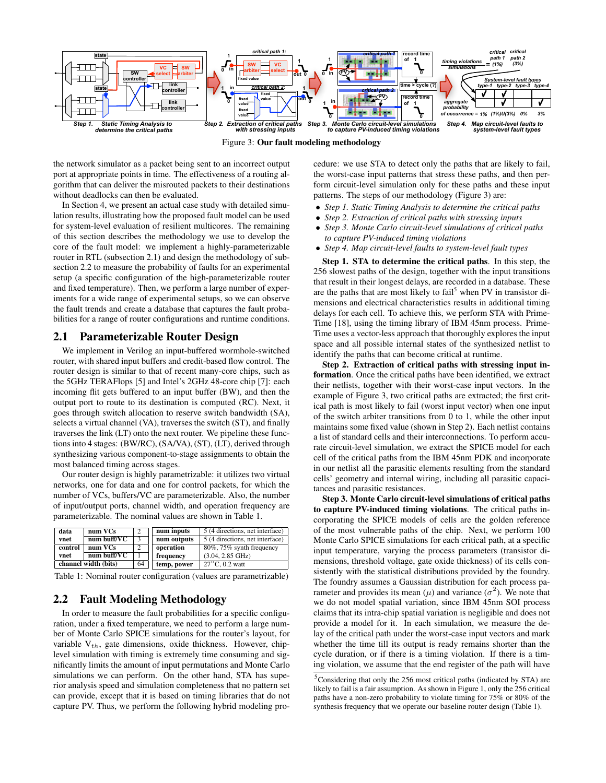

Figure 3: Our fault modeling methodology

the network simulator as a packet being sent to an incorrect output port at appropriate points in time. The effectiveness of a routing algorithm that can deliver the misrouted packets to their destinations without deadlocks can then be evaluated.

In Section 4, we present an actual case study with detailed simulation results, illustrating how the proposed fault model can be used for system-level evaluation of resilient multicores. The remaining of this section describes the methodology we use to develop the core of the fault model: we implement a highly-parameterizable router in RTL (subsection 2.1) and design the methodology of subsection 2.2 to measure the probability of faults for an experimental setup (a specific configuration of the high-parameterizable router and fixed temperature). Then, we perform a large number of experiments for a wide range of experimental setups, so we can observe the fault trends and create a database that captures the fault probabilities for a range of router configurations and runtime conditions.

### 2.1 Parameterizable Router Design

We implement in Verilog an input-buffered wormhole-switched router, with shared input buffers and credit-based flow control. The router design is similar to that of recent many-core chips, such as the 5GHz TERAFlops [5] and Intel's 2GHz 48-core chip [7]: each incoming flit gets buffered to an input buffer (BW), and then the output port to route to its destination is computed (RC). Next, it goes through switch allocation to reserve switch bandwidth (SA), selects a virtual channel (VA), traverses the switch (ST), and finally traverses the link (LT) onto the next router. We pipeline these functions into 4 stages: (BW/RC), (SA/VA), (ST), (LT), derived through synthesizing various component-to-stage assignments to obtain the most balanced timing across stages.

Our router design is highly parametrizable: it utilizes two virtual networks, one for data and one for control packets, for which the number of VCs, buffers/VC are parameterizable. Also, the number of input/output ports, channel width, and operation frequency are parameterizable. The nominal values are shown in Table 1.

| data                 | num VCs     |    | num inputs  | 5 (4 directions, net interface) |
|----------------------|-------------|----|-------------|---------------------------------|
| vnet                 | num buff/VC |    | num outputs | 5 (4 directions, net interface) |
| control              | num VCs     |    | operation   | 80%, 75% synth frequency        |
| vnet                 | num buff/VC |    | frequency   | $(3.04, 2.85$ GHz)              |
| channel width (bits) |             | 64 | temp, power | $27^{\circ}$ C, 0.2 watt        |

Table 1: Nominal router configuration (values are parametrizable)

#### 2.2 Fault Modeling Methodology

In order to measure the fault probabilities for a specific configuration, under a fixed temperature, we need to perform a large number of Monte Carlo SPICE simulations for the router's layout, for variable  $V_{th}$ , gate dimensions, oxide thickness. However, chiplevel simulation with timing is extremely time consuming and significantly limits the amount of input permutations and Monte Carlo simulations we can perform. On the other hand, STA has superior analysis speed and simulation completeness that no pattern set can provide, except that it is based on timing libraries that do not capture PV. Thus, we perform the following hybrid modeling procedure: we use STA to detect only the paths that are likely to fail, the worst-case input patterns that stress these paths, and then perform circuit-level simulation only for these paths and these input patterns. The steps of our methodology (Figure 3) are:

- *Step 1. Static Timing Analysis to determine the critical paths*
- *Step 2. Extraction of critical paths with stressing inputs*
- *Step 3. Monte Carlo circuit-level simulations of critical paths to capture PV-induced timing violations*
- *Step 4. Map circuit-level faults to system-level fault types*

Step 1. STA to determine the critical paths. In this step, the 256 slowest paths of the design, together with the input transitions that result in their longest delays, are recorded in a database. These are the paths that are most likely to fail<sup>5</sup> when PV in transistor dimensions and electrical characteristics results in additional timing delays for each cell. To achieve this, we perform STA with Prime-Time [18], using the timing library of IBM 45nm process. Prime-Time uses a vector-less approach that thoroughly explores the input space and all possible internal states of the synthesized netlist to identify the paths that can become critical at runtime.

Step 2. Extraction of critical paths with stressing input information. Once the critical paths have been identified, we extract their netlists, together with their worst-case input vectors. In the example of Figure 3, two critical paths are extracted; the first critical path is most likely to fail (worst input vector) when one input of the switch arbiter transitions from 0 to 1, while the other input maintains some fixed value (shown in Step 2). Each netlist contains a list of standard cells and their interconnections. To perform accurate circuit-level simulation, we extract the SPICE model for each cell of the critical paths from the IBM 45nm PDK and incorporate in our netlist all the parasitic elements resulting from the standard cells' geometry and internal wiring, including all parasitic capacitances and parasitic resistances.

Step 3. Monte Carlo circuit-level simulations of critical paths to capture PV-induced timing violations. The critical paths incorporating the SPICE models of cells are the golden reference of the most vulnerable paths of the chip. Next, we perform 100 Monte Carlo SPICE simulations for each critical path, at a specific input temperature, varying the process parameters (transistor dimensions, threshold voltage, gate oxide thickness) of its cells consistently with the statistical distributions provided by the foundry. The foundry assumes a Gaussian distribution for each process parameter and provides its mean  $(\mu)$  and variance  $(\sigma^2)$ . We note that we do not model spatial variation, since IBM 45nm SOI process claims that its intra-chip spatial variation is negligible and does not provide a model for it. In each simulation, we measure the delay of the critical path under the worst-case input vectors and mark whether the time till its output is ready remains shorter than the cycle duration, or if there is a timing violation. If there is a timing violation, we assume that the end register of the path will have

 $5$ Considering that only the 256 most critical paths (indicated by STA) are likely to fail is a fair assumption. As shown in Figure 1, only the 256 critical paths have a non-zero probability to violate timing for 75% or 80% of the synthesis frequency that we operate our baseline router design (Table 1).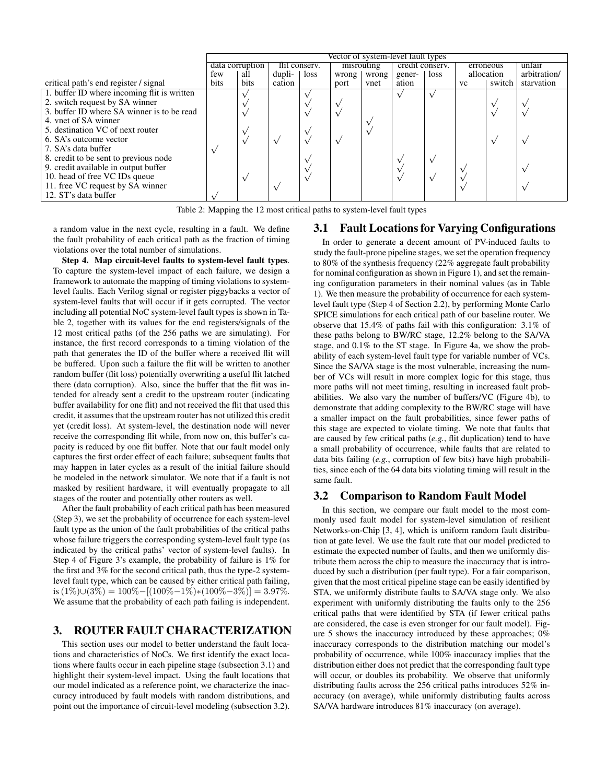|                                             | Vector of system-level fault types |      |               |      |            |       |                 |      |           |            |              |
|---------------------------------------------|------------------------------------|------|---------------|------|------------|-------|-----------------|------|-----------|------------|--------------|
|                                             | data corruption                    |      | flit conserv. |      | misrouting |       | credit conserv. |      | erroneous |            | unfair       |
|                                             | few                                | all  | dupli-        | loss | wrong      | wrong | gener-          | loss |           | allocation | arbitration/ |
| critical path's end register / signal       | bits                               | bits | cation        |      | port       | ynet  | ation           |      | <b>VC</b> | switch     | starvation   |
| 1. buffer ID where incoming flit is written |                                    |      |               |      |            |       |                 |      |           |            |              |
| 2. switch request by SA winner              |                                    |      |               |      |            |       |                 |      |           |            |              |
| 3. buffer ID where SA winner is to be read  |                                    |      |               |      |            |       |                 |      |           |            |              |
| 4. vnet of SA winner                        |                                    |      |               |      |            |       |                 |      |           |            |              |
| 5. destination VC of next router            |                                    |      |               |      |            |       |                 |      |           |            |              |
| 6. SA's outcome vector                      |                                    |      |               |      |            |       |                 |      |           |            |              |
| 7. SA's data buffer                         |                                    |      |               |      |            |       |                 |      |           |            |              |
| 8. credit to be sent to previous node       |                                    |      |               |      |            |       |                 |      |           |            |              |
| 9. credit available in output buffer        |                                    |      |               |      |            |       |                 |      |           |            |              |
| 10. head of free VC IDs queue               |                                    |      |               |      |            |       |                 |      |           |            |              |
| 11. free VC request by SA winner            |                                    |      |               |      |            |       |                 |      |           |            |              |
| 12. ST's data buffer                        |                                    |      |               |      |            |       |                 |      |           |            |              |

Table 2: Mapping the 12 most critical paths to system-level fault types

a random value in the next cycle, resulting in a fault. We define the fault probability of each critical path as the fraction of timing violations over the total number of simulations.

Step 4. Map circuit-level faults to system-level fault types. To capture the system-level impact of each failure, we design a framework to automate the mapping of timing violations to systemlevel faults. Each Verilog signal or register piggybacks a vector of system-level faults that will occur if it gets corrupted. The vector including all potential NoC system-level fault types is shown in Table 2, together with its values for the end registers/signals of the 12 most critical paths (of the 256 paths we are simulating). For instance, the first record corresponds to a timing violation of the path that generates the ID of the buffer where a received flit will be buffered. Upon such a failure the flit will be written to another random buffer (flit loss) potentially overwriting a useful flit latched there (data corruption). Also, since the buffer that the flit was intended for already sent a credit to the upstream router (indicating buffer availability for one flit) and not received the flit that used this credit, it assumes that the upstream router has not utilized this credit yet (credit loss). At system-level, the destination node will never receive the corresponding flit while, from now on, this buffer's capacity is reduced by one flit buffer. Note that our fault model only captures the first order effect of each failure; subsequent faults that may happen in later cycles as a result of the initial failure should be modeled in the network simulator. We note that if a fault is not masked by resilient hardware, it will eventually propagate to all stages of the router and potentially other routers as well.

After the fault probability of each critical path has been measured (Step 3), we set the probability of occurrence for each system-level fault type as the union of the fault probabilities of the critical paths whose failure triggers the corresponding system-level fault type (as indicated by the critical paths' vector of system-level faults). In Step 4 of Figure 3's example, the probability of failure is 1% for the first and 3% for the second critical path, thus the type-2 systemlevel fault type, which can be caused by either critical path failing, is (1%)∪(3%) = 100%–[(100%−1%) $*(100\% - 3\%)$ ] = 3.97%. We assume that the probability of each path failing is independent.

# 3. ROUTER FAULT CHARACTERIZATION

This section uses our model to better understand the fault locations and characteristics of NoCs. We first identify the exact locations where faults occur in each pipeline stage (subsection 3.1) and highlight their system-level impact. Using the fault locations that our model indicated as a reference point, we characterize the inaccuracy introduced by fault models with random distributions, and point out the importance of circuit-level modeling (subsection 3.2).

### 3.1 Fault Locations for Varying Configurations

In order to generate a decent amount of PV-induced faults to study the fault-prone pipeline stages, we set the operation frequency to 80% of the synthesis frequency (22% aggregate fault probability for nominal configuration as shown in Figure 1), and set the remaining configuration parameters in their nominal values (as in Table 1). We then measure the probability of occurrence for each systemlevel fault type (Step 4 of Section 2.2), by performing Monte Carlo SPICE simulations for each critical path of our baseline router. We observe that 15.4% of paths fail with this configuration: 3.1% of these paths belong to BW/RC stage, 12.2% belong to the SA/VA stage, and 0.1% to the ST stage. In Figure 4a, we show the probability of each system-level fault type for variable number of VCs. Since the SA/VA stage is the most vulnerable, increasing the number of VCs will result in more complex logic for this stage, thus more paths will not meet timing, resulting in increased fault probabilities. We also vary the number of buffers/VC (Figure 4b), to demonstrate that adding complexity to the BW/RC stage will have a smaller impact on the fault probabilities, since fewer paths of this stage are expected to violate timing. We note that faults that are caused by few critical paths (*e.g.*, flit duplication) tend to have a small probability of occurrence, while faults that are related to data bits failing (*e.g.*, corruption of few bits) have high probabilities, since each of the 64 data bits violating timing will result in the same fault.

### 3.2 Comparison to Random Fault Model

In this section, we compare our fault model to the most commonly used fault model for system-level simulation of resilient Networks-on-Chip [3, 4], which is uniform random fault distribution at gate level. We use the fault rate that our model predicted to estimate the expected number of faults, and then we uniformly distribute them across the chip to measure the inaccuracy that is introduced by such a distribution (per fault type). For a fair comparison, given that the most critical pipeline stage can be easily identified by STA, we uniformly distribute faults to SA/VA stage only. We also experiment with uniformly distributing the faults only to the 256 critical paths that were identified by STA (if fewer critical paths are considered, the case is even stronger for our fault model). Figure 5 shows the inaccuracy introduced by these approaches; 0% inaccuracy corresponds to the distribution matching our model's probability of occurrence, while 100% inaccuracy implies that the distribution either does not predict that the corresponding fault type will occur, or doubles its probability. We observe that uniformly distributing faults across the 256 critical paths introduces 52% inaccuracy (on average), while uniformly distributing faults across SA/VA hardware introduces 81% inaccuracy (on average).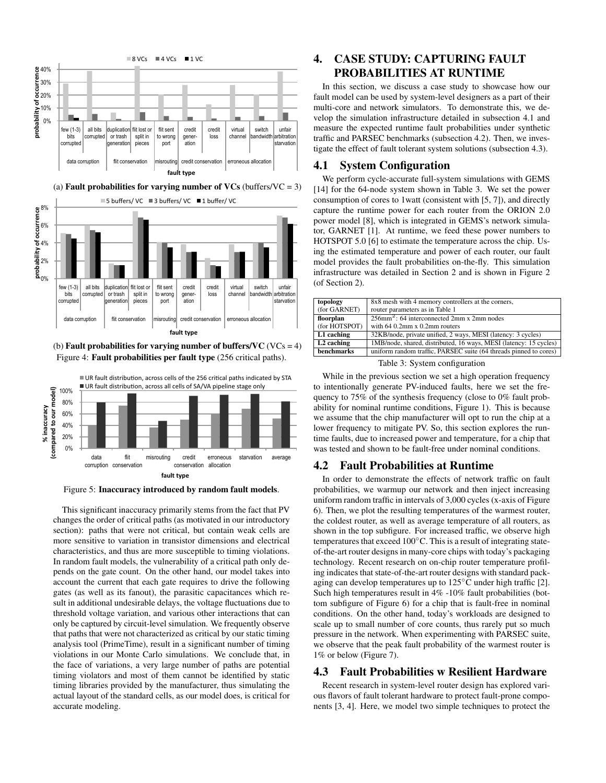

(b) Fault probabilities for varying number of buffers/VC ( $VCs = 4$ ) Figure 4: Fault probabilities per fault type (256 critical paths).



Figure 5: Inaccuracy introduced by random fault models.

This significant inaccuracy primarily stems from the fact that PV changes the order of critical paths (as motivated in our introductory section): paths that were not critical, but contain weak cells are more sensitive to variation in transistor dimensions and electrical characteristics, and thus are more susceptible to timing violations. In random fault models, the vulnerability of a critical path only depends on the gate count. On the other hand, our model takes into account the current that each gate requires to drive the following gates (as well as its fanout), the parasitic capacitances which result in additional undesirable delays, the voltage fluctuations due to threshold voltage variation, and various other interactions that can only be captured by circuit-level simulation. We frequently observe that paths that were not characterized as critical by our static timing analysis tool (PrimeTime), result in a significant number of timing violations in our Monte Carlo simulations. We conclude that, in the face of variations, a very large number of paths are potential timing violators and most of them cannot be identified by static timing libraries provided by the manufacturer, thus simulating the actual layout of the standard cells, as our model does, is critical for accurate modeling.

# 4. CASE STUDY: CAPTURING FAULT PROBABILITIES AT RUNTIME

In this section, we discuss a case study to showcase how our fault model can be used by system-level designers as a part of their multi-core and network simulators. To demonstrate this, we develop the simulation infrastructure detailed in subsection 4.1 and measure the expected runtime fault probabilities under synthetic traffic and PARSEC benchmarks (subsection 4.2). Then, we investigate the effect of fault tolerant system solutions (subsection 4.3).

## 4.1 System Configuration

We perform cycle-accurate full-system simulations with GEMS [14] for the 64-node system shown in Table 3. We set the power consumption of cores to 1watt (consistent with [5, 7]), and directly capture the runtime power for each router from the ORION 2.0 power model [8], which is integrated in GEMS's network simulator, GARNET [1]. At runtime, we feed these power numbers to HOTSPOT 5.0 [6] to estimate the temperature across the chip. Using the estimated temperature and power of each router, our fault model provides the fault probabilities on-the-fly. This simulation infrastructure was detailed in Section 2 and is shown in Figure 2 (of Section 2).

| topology      | 8x8 mesh with 4 memory controllers at the corners,                |
|---------------|-------------------------------------------------------------------|
| (for GARNET)  | router parameters as in Table 1                                   |
| floorplan     | $256$ mm <sup>2</sup> : 64 interconnected 2mm x 2mm nodes         |
| (for HOTSPOT) | with $640.2$ mm x 0.2mm routers                                   |
| L1 caching    | 32KB/node, private unified, 2 ways, MESI (latency: 3 cycles)      |
| $L2$ caching  | 1MB/node, shared, distributed, 16 ways, MESI (latency: 15 cycles) |
| benchmarks    | uniform random traffic, PARSEC suite (64 threads pinned to cores) |
|               |                                                                   |

#### Table 3: System configuration

While in the previous section we set a high operation frequency to intentionally generate PV-induced faults, here we set the frequency to 75% of the synthesis frequency (close to 0% fault probability for nominal runtime conditions, Figure 1). This is because we assume that the chip manufacturer will opt to run the chip at a lower frequency to mitigate PV. So, this section explores the runtime faults, due to increased power and temperature, for a chip that was tested and shown to be fault-free under nominal conditions.

### 4.2 Fault Probabilities at Runtime

In order to demonstrate the effects of network traffic on fault probabilities, we warmup our network and then inject increasing uniform random traffic in intervals of 3,000 cycles (x-axis of Figure 6). Then, we plot the resulting temperatures of the warmest router, the coldest router, as well as average temperature of all routers, as shown in the top subfigure. For increased traffic, we observe high temperatures that exceed 100◦C. This is a result of integrating stateof-the-art router designs in many-core chips with today's packaging technology. Recent research on on-chip router temperature profiling indicates that state-of-the-art router designs with standard packaging can develop temperatures up to 125◦C under high traffic [2]. Such high temperatures result in 4% -10% fault probabilities (bottom subfigure of Figure 6) for a chip that is fault-free in nominal conditions. On the other hand, today's workloads are designed to scale up to small number of core counts, thus rarely put so much pressure in the network. When experimenting with PARSEC suite, we observe that the peak fault probability of the warmest router is 1% or below (Figure 7).

### 4.3 Fault Probabilities w Resilient Hardware

Recent research in system-level router design has explored various flavors of fault tolerant hardware to protect fault-prone components [3, 4]. Here, we model two simple techniques to protect the